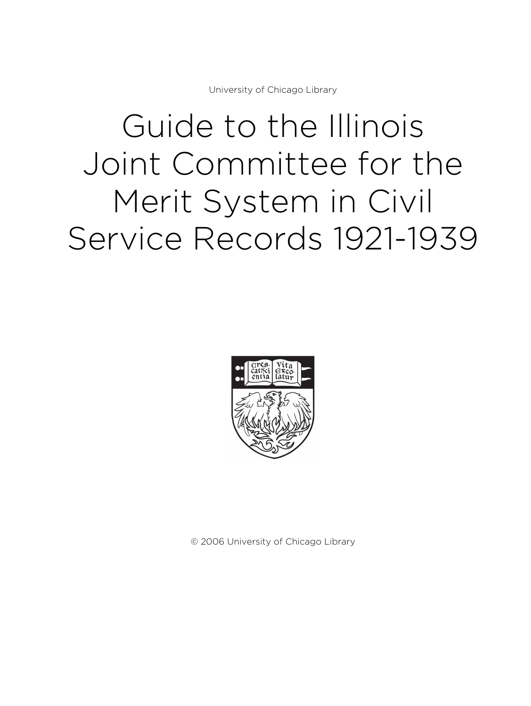University of Chicago Library

# Guide to the Illinois Joint Committee for the Merit System in Civil Service Records 1921-1939



© 2006 University of Chicago Library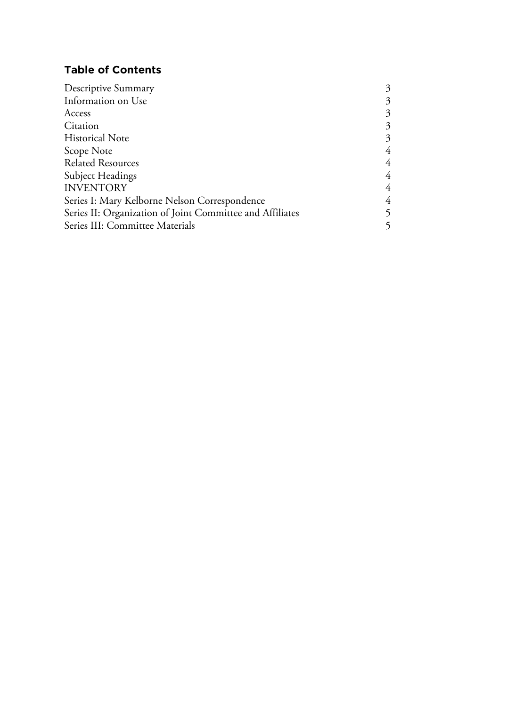# **Table of Contents**

| Descriptive Summary                                       | 3 |
|-----------------------------------------------------------|---|
| Information on Use                                        | 3 |
| Access                                                    | 3 |
| Citation                                                  | 3 |
| <b>Historical Note</b>                                    | 3 |
| Scope Note                                                | 4 |
| <b>Related Resources</b>                                  | 4 |
| <b>Subject Headings</b>                                   | 4 |
| <b>INVENTORY</b>                                          | 4 |
| Series I: Mary Kelborne Nelson Correspondence             | 4 |
| Series II: Organization of Joint Committee and Affiliates | 5 |
| Series III: Committee Materials                           |   |
|                                                           |   |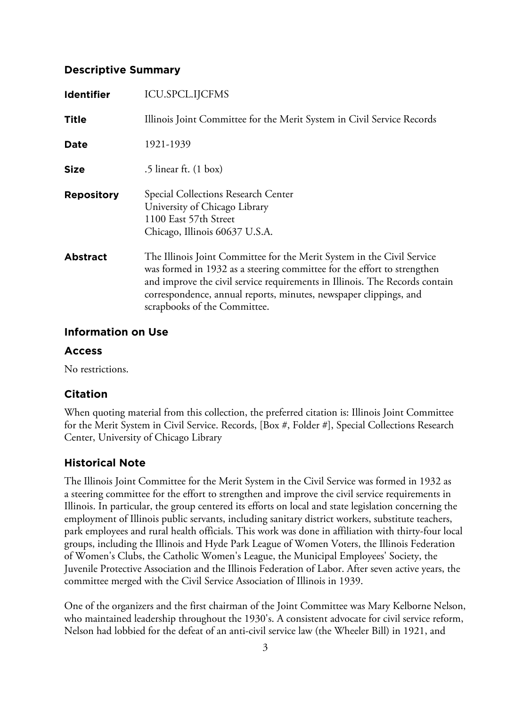# **Descriptive Summary**

| <b>Identifier</b> | <b>ICU.SPCL.IJCFMS</b>                                                                                                                                                                                                                                                                                                                |
|-------------------|---------------------------------------------------------------------------------------------------------------------------------------------------------------------------------------------------------------------------------------------------------------------------------------------------------------------------------------|
| <b>Title</b>      | Illinois Joint Committee for the Merit System in Civil Service Records                                                                                                                                                                                                                                                                |
| <b>Date</b>       | 1921-1939                                                                                                                                                                                                                                                                                                                             |
| <b>Size</b>       | .5 linear ft. $(1 \text{ box})$                                                                                                                                                                                                                                                                                                       |
| <b>Repository</b> | Special Collections Research Center<br>University of Chicago Library<br>1100 East 57th Street<br>Chicago, Illinois 60637 U.S.A.                                                                                                                                                                                                       |
| <b>Abstract</b>   | The Illinois Joint Committee for the Merit System in the Civil Service<br>was formed in 1932 as a steering committee for the effort to strengthen<br>and improve the civil service requirements in Illinois. The Records contain<br>correspondence, annual reports, minutes, newspaper clippings, and<br>scrapbooks of the Committee. |

# **Information on Use**

# **Access**

No restrictions.

# **Citation**

When quoting material from this collection, the preferred citation is: Illinois Joint Committee for the Merit System in Civil Service. Records, [Box #, Folder #], Special Collections Research Center, University of Chicago Library

# **Historical Note**

The Illinois Joint Committee for the Merit System in the Civil Service was formed in 1932 as a steering committee for the effort to strengthen and improve the civil service requirements in Illinois. In particular, the group centered its efforts on local and state legislation concerning the employment of Illinois public servants, including sanitary district workers, substitute teachers, park employees and rural health officials. This work was done in affiliation with thirty-four local groups, including the Illinois and Hyde Park League of Women Voters, the Illinois Federation of Women's Clubs, the Catholic Women's League, the Municipal Employees' Society, the Juvenile Protective Association and the Illinois Federation of Labor. After seven active years, the committee merged with the Civil Service Association of Illinois in 1939.

One of the organizers and the first chairman of the Joint Committee was Mary Kelborne Nelson, who maintained leadership throughout the 1930's. A consistent advocate for civil service reform, Nelson had lobbied for the defeat of an anti-civil service law (the Wheeler Bill) in 1921, and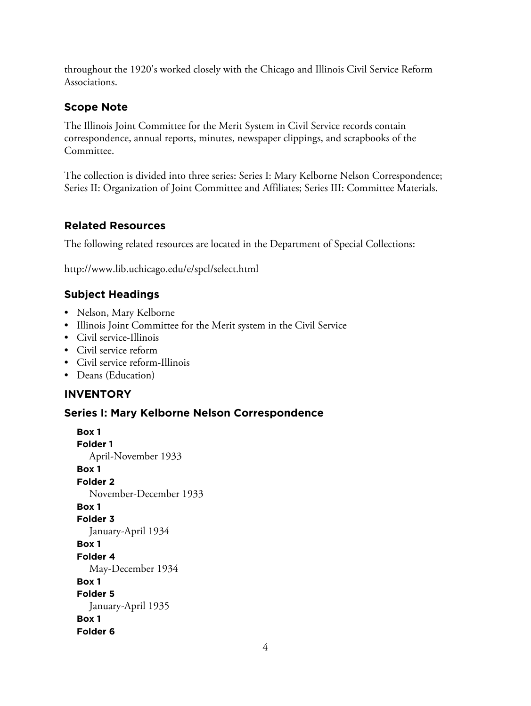throughout the 1920's worked closely with the Chicago and Illinois Civil Service Reform Associations.

# **Scope Note**

The Illinois Joint Committee for the Merit System in Civil Service records contain correspondence, annual reports, minutes, newspaper clippings, and scrapbooks of the Committee.

The collection is divided into three series: Series I: Mary Kelborne Nelson Correspondence; Series II: Organization of Joint Committee and Affiliates; Series III: Committee Materials.

# **Related Resources**

The following related resources are located in the Department of Special Collections:

http://www.lib.uchicago.edu/e/spcl/select.html

# **Subject Headings**

- Nelson, Mary Kelborne
- Illinois Joint Committee for the Merit system in the Civil Service
- Civil service-Illinois
- Civil service reform
- Civil service reform-Illinois
- Deans (Education)

# **INVENTORY**

# **Series I: Mary Kelborne Nelson Correspondence**

**Box 1 Folder 1** April-November 1933 **Box 1 Folder 2** November-December 1933 **Box 1 Folder 3** January-April 1934 **Box 1 Folder 4** May-December 1934 **Box 1 Folder 5** January-April 1935 **Box 1 Folder 6**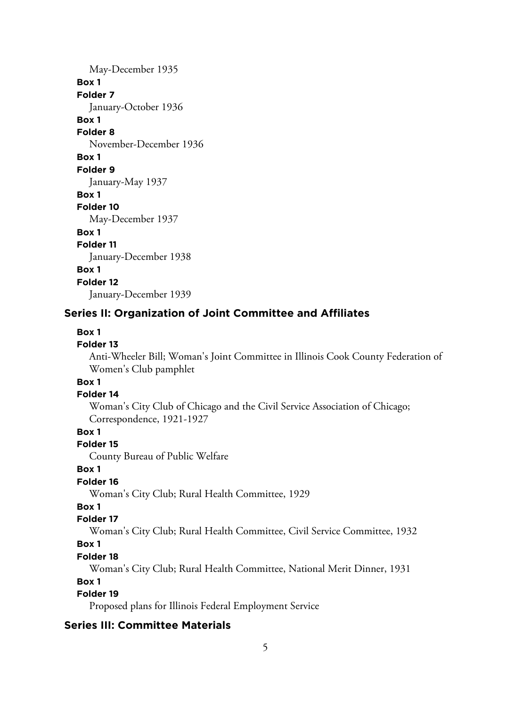May-December 1935 **Box 1 Folder 7** January-October 1936 **Box 1 Folder 8** November-December 1936 **Box 1 Folder 9** January-May 1937 **Box 1 Folder 10** May-December 1937 **Box 1 Folder 11** January-December 1938 **Box 1 Folder 12** January-December 1939

## **Series II: Organization of Joint Committee and Affiliates**

#### **Box 1**

#### **Folder 13**

Anti-Wheeler Bill; Woman's Joint Committee in Illinois Cook County Federation of Women's Club pamphlet

# **Box 1**

#### **Folder 14**

Woman's City Club of Chicago and the Civil Service Association of Chicago; Correspondence, 1921-1927

## **Box 1**

#### **Folder 15**

County Bureau of Public Welfare

#### **Box 1**

## **Folder 16**

Woman's City Club; Rural Health Committee, 1929

# **Box 1**

## **Folder 17**

Woman's City Club; Rural Health Committee, Civil Service Committee, 1932

#### **Box 1**

#### **Folder 18**

Woman's City Club; Rural Health Committee, National Merit Dinner, 1931

#### **Box 1**

## **Folder 19**

Proposed plans for Illinois Federal Employment Service

#### **Series III: Committee Materials**